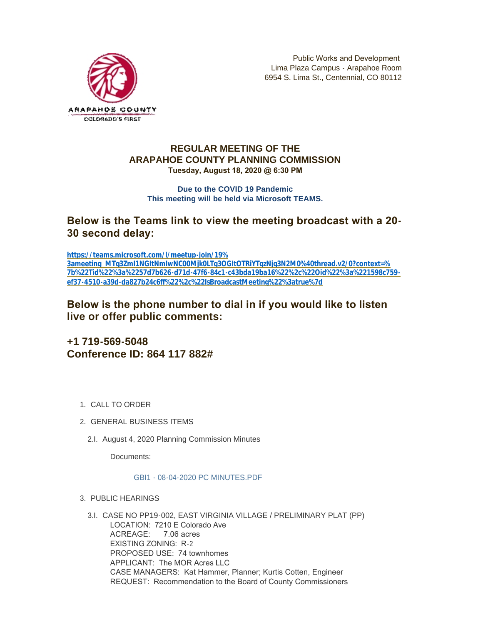

# **REGULAR MEETING OF THE ARAPAHOE COUNTY PLANNING COMMISSION Tuesday, August 18, 2020 @ 6:30 PM**

## **Due to the COVID 19 Pandemic This meeting will be held via Microsoft TEAMS.**

# **Below is the Teams link to view the meeting broadcast with a 20- 30 second delay:**

**https://teams.microsoft.com/l/meetup-join/19% 3ameeting\_MTg3ZmI1NGItNmIwNC00Mjk0LTg3OGItOTRiYTgzNjg3N2M0%40thread.v2/0?context=% [7b%22Tid%22%3a%2257d7b626-d71d-47f6-84c1-c43bda19ba16%22%2c%22Oid%22%3a%221598c759](https://teams.microsoft.com/l/meetup-join/19%3ameeting_MTg3ZmI1NGItNmIwNC00Mjk0LTg3OGItOTRiYTgzNjg3N2M0%40thread.v2/0?context=%7b%22Tid%22%3a%2257d7b626-d71d-47f6-84c1-c43bda19ba16%22%2c%22Oid%22%3a%221598c759-ef37-4510-a39d-da827b24c6ff%22%2c%22IsBroadcastMeeting%22%3atrue%7d) ef37-4510-a39d-da827b24c6ff%22%2c%22IsBroadcastMeeting%22%3atrue%7d**

# **Below is the phone number to dial in if you would like to listen live or offer public comments:**

**+1 719-569-5048 Conference ID: 864 117 882#**

- 1. CALL TO ORDER
- GENERAL BUSINESS ITEMS 2.
	- 2.I. August 4, 2020 Planning Commission Minutes

Documents:

## [GBI1 - 08-04-2020 PC MINUTES.PDF](https://www.arapahoegov.com/AgendaCenter/ViewFile/Item/13140?fileID=23764)

## PUBLIC HEARINGS 3.

CASE NO PP19-002, EAST VIRGINIA VILLAGE / PRELIMINARY PLAT (PP) 3.I. LOCATION: 7210 E Colorado Ave ACREAGE: 7.06 acres EXISTING ZONING: R-2 PROPOSED USE: 74 townhomes APPLICANT: The MOR Acres LLC CASE MANAGERS: Kat Hammer, Planner; Kurtis Cotten, Engineer REQUEST: Recommendation to the Board of County Commissioners